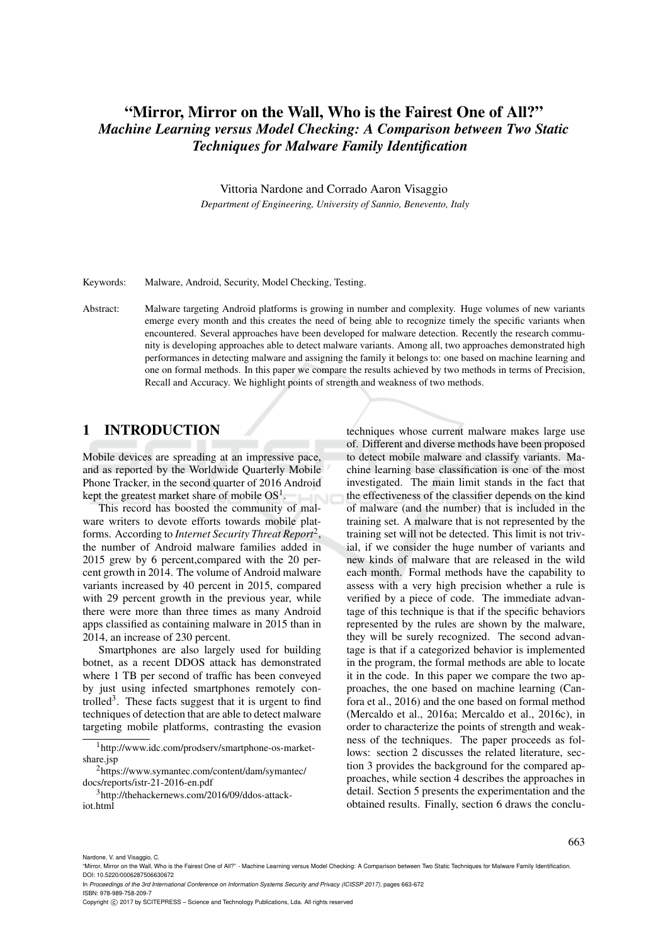## "Mirror, Mirror on the Wall, Who is the Fairest One of All?" *Machine Learning versus Model Checking: A Comparison between Two Static Techniques for Malware Family Identification*

Vittoria Nardone and Corrado Aaron Visaggio *Department of Engineering, University of Sannio, Benevento, Italy*

Keywords: Malware, Android, Security, Model Checking, Testing.

Abstract: Malware targeting Android platforms is growing in number and complexity. Huge volumes of new variants emerge every month and this creates the need of being able to recognize timely the specific variants when encountered. Several approaches have been developed for malware detection. Recently the research community is developing approaches able to detect malware variants. Among all, two approaches demonstrated high performances in detecting malware and assigning the family it belongs to: one based on machine learning and one on formal methods. In this paper we compare the results achieved by two methods in terms of Precision, Recall and Accuracy. We highlight points of strength and weakness of two methods.

### 1 INTRODUCTION

Mobile devices are spreading at an impressive pace, and as reported by the Worldwide Quarterly Mobile Phone Tracker, in the second quarter of 2016 Android kept the greatest market share of mobile  $OS<sup>1</sup>$ .

This record has boosted the community of malware writers to devote efforts towards mobile platforms. According to *Internet Security Threat Report*<sup>2</sup> , the number of Android malware families added in 2015 grew by 6 percent,compared with the 20 percent growth in 2014. The volume of Android malware variants increased by 40 percent in 2015, compared with 29 percent growth in the previous year, while there were more than three times as many Android apps classified as containing malware in 2015 than in 2014, an increase of 230 percent.

Smartphones are also largely used for building botnet, as a recent DDOS attack has demonstrated where 1 TB per second of traffic has been conveyed by just using infected smartphones remotely controlled<sup>3</sup>. These facts suggest that it is urgent to find techniques of detection that are able to detect malware targeting mobile platforms, contrasting the evasion techniques whose current malware makes large use of. Different and diverse methods have been proposed to detect mobile malware and classify variants. Machine learning base classification is one of the most investigated. The main limit stands in the fact that the effectiveness of the classifier depends on the kind of malware (and the number) that is included in the training set. A malware that is not represented by the training set will not be detected. This limit is not trivial, if we consider the huge number of variants and new kinds of malware that are released in the wild each month. Formal methods have the capability to assess with a very high precision whether a rule is verified by a piece of code. The immediate advantage of this technique is that if the specific behaviors represented by the rules are shown by the malware, they will be surely recognized. The second advantage is that if a categorized behavior is implemented in the program, the formal methods are able to locate it in the code. In this paper we compare the two approaches, the one based on machine learning (Canfora et al., 2016) and the one based on formal method (Mercaldo et al., 2016a; Mercaldo et al., 2016c), in order to characterize the points of strength and weakness of the techniques. The paper proceeds as follows: section 2 discusses the related literature, section 3 provides the background for the compared approaches, while section 4 describes the approaches in detail. Section 5 presents the experimentation and the obtained results. Finally, section 6 draws the conclu-

Nardone, V. and Visaggio, C.

663

<sup>1</sup>http://www.idc.com/prodserv/smartphone-os-marketshare.jsp

<sup>2</sup>https://www.symantec.com/content/dam/symantec/ docs/reports/istr-21-2016-en.pdf

<sup>3</sup>http://thehackernews.com/2016/09/ddos-attackiot.html

<sup>&</sup>quot;Mirror, Mirror on the Wall, Who is the Fairest One of All?" - Machine Learning versus Model Checking: A Comparison between Two Static Techniques for Malware Family Identification. DOI: 10.5220/0006287506630672

In *Proceedings of the 3rd International Conference on Information Systems Security and Privacy (ICISSP 2017)*, pages 663-672 ISBN: 978-989-758-209-7

Copyright (C) 2017 by SCITEPRESS - Science and Technology Publications, Lda. All rights reserved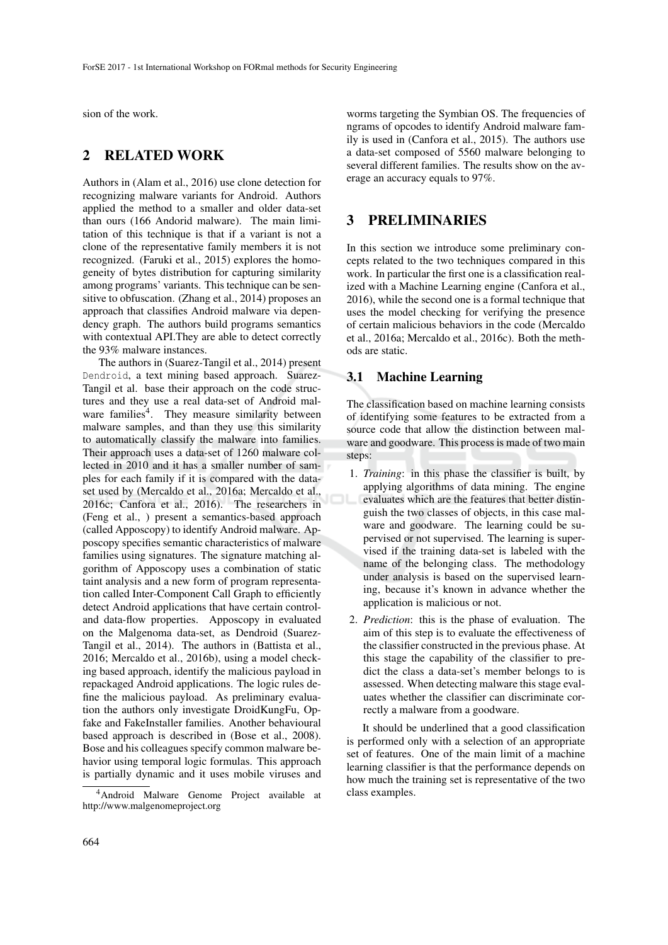sion of the work.

### 2 RELATED WORK

Authors in (Alam et al., 2016) use clone detection for recognizing malware variants for Android. Authors applied the method to a smaller and older data-set than ours (166 Andorid malware). The main limitation of this technique is that if a variant is not a clone of the representative family members it is not recognized. (Faruki et al., 2015) explores the homogeneity of bytes distribution for capturing similarity among programs' variants. This technique can be sensitive to obfuscation. (Zhang et al., 2014) proposes an approach that classifies Android malware via dependency graph. The authors build programs semantics with contextual API.They are able to detect correctly the 93% malware instances.

The authors in (Suarez-Tangil et al., 2014) present Dendroid, a text mining based approach. Suarez-Tangil et al. base their approach on the code structures and they use a real data-set of Android malware families<sup>4</sup>. They measure similarity between malware samples, and than they use this similarity to automatically classify the malware into families. Their approach uses a data-set of 1260 malware collected in 2010 and it has a smaller number of samples for each family if it is compared with the dataset used by (Mercaldo et al., 2016a; Mercaldo et al., 2016c; Canfora et al., 2016). The researchers in (Feng et al., ) present a semantics-based approach (called Apposcopy) to identify Android malware. Apposcopy specifies semantic characteristics of malware families using signatures. The signature matching algorithm of Apposcopy uses a combination of static taint analysis and a new form of program representation called Inter-Component Call Graph to efficiently detect Android applications that have certain controland data-flow properties. Apposcopy in evaluated on the Malgenoma data-set, as Dendroid (Suarez-Tangil et al., 2014). The authors in (Battista et al., 2016; Mercaldo et al., 2016b), using a model checking based approach, identify the malicious payload in repackaged Android applications. The logic rules define the malicious payload. As preliminary evaluation the authors only investigate DroidKungFu, Opfake and FakeInstaller families. Another behavioural based approach is described in (Bose et al., 2008). Bose and his colleagues specify common malware behavior using temporal logic formulas. This approach is partially dynamic and it uses mobile viruses and

worms targeting the Symbian OS. The frequencies of ngrams of opcodes to identify Android malware family is used in (Canfora et al., 2015). The authors use a data-set composed of 5560 malware belonging to several different families. The results show on the average an accuracy equals to 97%.

### 3 PRELIMINARIES

In this section we introduce some preliminary concepts related to the two techniques compared in this work. In particular the first one is a classification realized with a Machine Learning engine (Canfora et al., 2016), while the second one is a formal technique that uses the model checking for verifying the presence of certain malicious behaviors in the code (Mercaldo et al., 2016a; Mercaldo et al., 2016c). Both the methods are static.

### 3.1 Machine Learning

The classification based on machine learning consists of identifying some features to be extracted from a source code that allow the distinction between malware and goodware. This process is made of two main steps:

- 1. *Training*: in this phase the classifier is built, by applying algorithms of data mining. The engine evaluates which are the features that better distinguish the two classes of objects, in this case malware and goodware. The learning could be supervised or not supervised. The learning is supervised if the training data-set is labeled with the name of the belonging class. The methodology under analysis is based on the supervised learning, because it's known in advance whether the application is malicious or not.
- 2. *Prediction*: this is the phase of evaluation. The aim of this step is to evaluate the effectiveness of the classifier constructed in the previous phase. At this stage the capability of the classifier to predict the class a data-set's member belongs to is assessed. When detecting malware this stage evaluates whether the classifier can discriminate correctly a malware from a goodware.

It should be underlined that a good classification is performed only with a selection of an appropriate set of features. One of the main limit of a machine learning classifier is that the performance depends on how much the training set is representative of the two class examples.

<sup>4</sup>Android Malware Genome Project available at http://www.malgenomeproject.org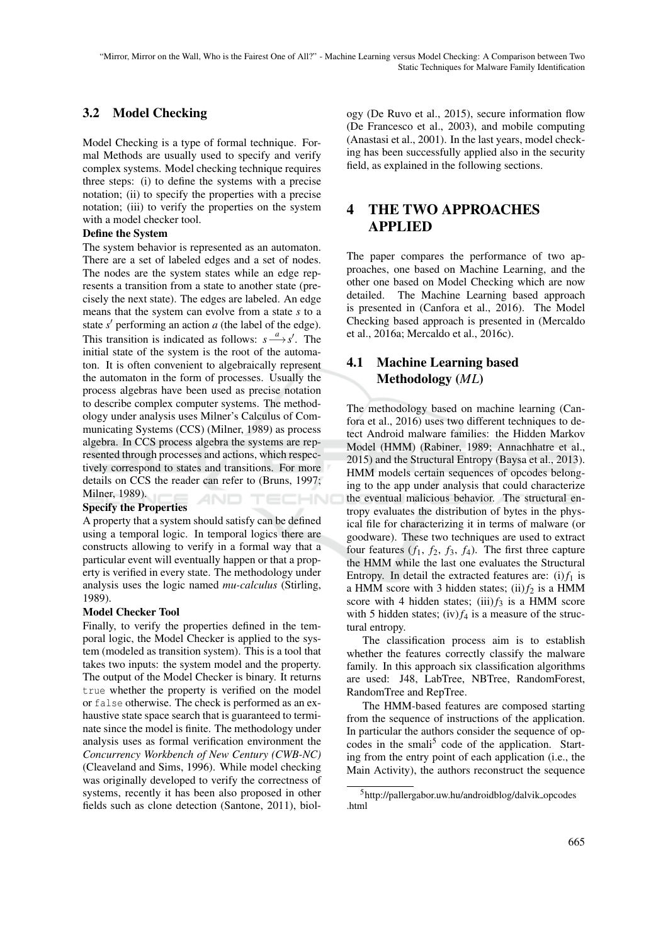### 3.2 Model Checking

Model Checking is a type of formal technique. Formal Methods are usually used to specify and verify complex systems. Model checking technique requires three steps: (i) to define the systems with a precise notation; (ii) to specify the properties with a precise notation; (iii) to verify the properties on the system with a model checker tool.

#### Define the System

The system behavior is represented as an automaton. There are a set of labeled edges and a set of nodes. The nodes are the system states while an edge represents a transition from a state to another state (precisely the next state). The edges are labeled. An edge means that the system can evolve from a state *s* to a state  $s'$  performing an action  $a$  (the label of the edge). This transition is indicated as follows:  $s \xrightarrow{a} s'$ . The initial state of the system is the root of the automaton. It is often convenient to algebraically represent the automaton in the form of processes. Usually the process algebras have been used as precise notation to describe complex computer systems. The methodology under analysis uses Milner's Calculus of Communicating Systems (CCS) (Milner, 1989) as process algebra. In CCS process algebra the systems are represented through processes and actions, which respectively correspond to states and transitions. For more details on CCS the reader can refer to (Bruns, 1997; Milner, 1989). HNC

#### Specify the Properties

A property that a system should satisfy can be defined using a temporal logic. In temporal logics there are constructs allowing to verify in a formal way that a particular event will eventually happen or that a property is verified in every state. The methodology under analysis uses the logic named *mu-calculus* (Stirling, 1989).

#### Model Checker Tool

Finally, to verify the properties defined in the temporal logic, the Model Checker is applied to the system (modeled as transition system). This is a tool that takes two inputs: the system model and the property. The output of the Model Checker is binary. It returns true whether the property is verified on the model or false otherwise. The check is performed as an exhaustive state space search that is guaranteed to terminate since the model is finite. The methodology under analysis uses as formal verification environment the *Concurrency Workbench of New Century (CWB-NC)* (Cleaveland and Sims, 1996). While model checking was originally developed to verify the correctness of systems, recently it has been also proposed in other fields such as clone detection (Santone, 2011), biology (De Ruvo et al., 2015), secure information flow (De Francesco et al., 2003), and mobile computing (Anastasi et al., 2001). In the last years, model checking has been successfully applied also in the security field, as explained in the following sections.

### 4 THE TWO APPROACHES APPLIED

The paper compares the performance of two approaches, one based on Machine Learning, and the other one based on Model Checking which are now detailed. The Machine Learning based approach is presented in (Canfora et al., 2016). The Model Checking based approach is presented in (Mercaldo et al., 2016a; Mercaldo et al., 2016c).

### 4.1 Machine Learning based Methodology (*ML*)

The methodology based on machine learning (Canfora et al., 2016) uses two different techniques to detect Android malware families: the Hidden Markov Model (HMM) (Rabiner, 1989; Annachhatre et al., 2015) and the Structural Entropy (Baysa et al., 2013). HMM models certain sequences of opcodes belonging to the app under analysis that could characterize the eventual malicious behavior. The structural entropy evaluates the distribution of bytes in the physical file for characterizing it in terms of malware (or goodware). These two techniques are used to extract four features  $(f_1, f_2, f_3, f_4)$ . The first three capture the HMM while the last one evaluates the Structural Entropy. In detail the extracted features are: (i) $f_1$  is a HMM score with 3 hidden states; (ii) $f_2$  is a HMM score with 4 hidden states; (iii) $f_3$  is a HMM score with 5 hidden states; (iv)  $f_4$  is a measure of the structural entropy.

The classification process aim is to establish whether the features correctly classify the malware family. In this approach six classification algorithms are used: J48, LabTree, NBTree, RandomForest, RandomTree and RepTree.

The HMM-based features are composed starting from the sequence of instructions of the application. In particular the authors consider the sequence of opcodes in the smali<sup>5</sup> code of the application. Starting from the entry point of each application (i.e., the Main Activity), the authors reconstruct the sequence

 $5$ http://pallergabor.uw.hu/androidblog/dalvik\_opcodes .html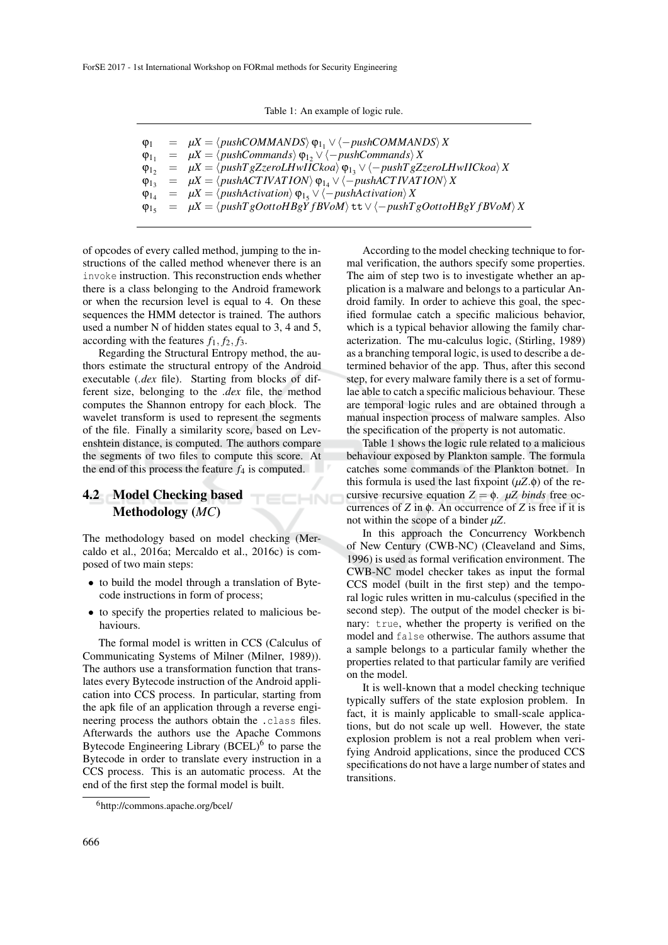|  |  |  | Table 1: An example of logic rule. |  |  |  |
|--|--|--|------------------------------------|--|--|--|
|--|--|--|------------------------------------|--|--|--|

|  | $\varphi_1 = \mu X = \langle pushCOMMANDS \rangle \varphi_1, \vee \langle -pushCOMMANDS \rangle X$                          |
|--|-----------------------------------------------------------------------------------------------------------------------------|
|  | $\varphi_{1_1}$ = $\mu X = \langle pushCommands \rangle \varphi_{1_2} \vee \langle -pushCommands \rangle X$                 |
|  | $\varphi_{12} = \mu X = \langle pushT gZzeroL HwIICkoa \rangle \varphi_{12} \vee \langle -pushT gZzeroL HwIICkoa \rangle X$ |
|  | $\varphi_{1_3}$ = $\mu X = \langle pushACTIVATION \rangle \varphi_{1_4} \vee \langle -pushACTIVATION \rangle X$             |
|  | $\varphi_{1_4} = \mu X = \langle pushAction \rangle \varphi_{1_5} \vee \langle -pushAction \rangle X$                       |
|  | $\varphi_{15} = \mu X = \langle pushTgOottoHBgYfBVoM \rangle \text{tt} \vee \langle -pushTgOottoHBgYfBVoM \rangle X$        |

of opcodes of every called method, jumping to the instructions of the called method whenever there is an invoke instruction. This reconstruction ends whether there is a class belonging to the Android framework or when the recursion level is equal to 4. On these sequences the HMM detector is trained. The authors used a number N of hidden states equal to 3, 4 and 5, according with the features  $f_1$ ,  $f_2$ ,  $f_3$ .

Regarding the Structural Entropy method, the authors estimate the structural entropy of the Android executable (*.dex* file). Starting from blocks of different size, belonging to the *.dex* file, the method computes the Shannon entropy for each block. The wavelet transform is used to represent the segments of the file. Finally a similarity score, based on Levenshtein distance, is computed. The authors compare the segments of two files to compute this score. At the end of this process the feature  $f_4$  is computed.

### 4.2 Model Checking based Methodology (*MC*)

The methodology based on model checking (Mercaldo et al., 2016a; Mercaldo et al., 2016c) is composed of two main steps:

TECHNO

- to build the model through a translation of Bytecode instructions in form of process;
- to specify the properties related to malicious behaviours.

The formal model is written in CCS (Calculus of Communicating Systems of Milner (Milner, 1989)). The authors use a transformation function that translates every Bytecode instruction of the Android application into CCS process. In particular, starting from the apk file of an application through a reverse engineering process the authors obtain the .class files. Afterwards the authors use the Apache Commons Bytecode Engineering Library  $(BCEL)^6$  to parse the Bytecode in order to translate every instruction in a CCS process. This is an automatic process. At the end of the first step the formal model is built.

According to the model checking technique to formal verification, the authors specify some properties. The aim of step two is to investigate whether an application is a malware and belongs to a particular Android family. In order to achieve this goal, the specified formulae catch a specific malicious behavior, which is a typical behavior allowing the family characterization. The mu-calculus logic, (Stirling, 1989) as a branching temporal logic, is used to describe a determined behavior of the app. Thus, after this second step, for every malware family there is a set of formulae able to catch a specific malicious behaviour. These are temporal logic rules and are obtained through a manual inspection process of malware samples. Also the specification of the property is not automatic.

Table 1 shows the logic rule related to a malicious behaviour exposed by Plankton sample. The formula catches some commands of the Plankton botnet. In this formula is used the last fixpoint  $(\mu Z.\phi)$  of the recursive recursive equation  $Z = \phi$ .  $\mu Z$  *binds* free occurrences of *Z* in φ. An occurrence of *Z* is free if it is not within the scope of a binder *µZ*.

In this approach the Concurrency Workbench of New Century (CWB-NC) (Cleaveland and Sims, 1996) is used as formal verification environment. The CWB-NC model checker takes as input the formal CCS model (built in the first step) and the temporal logic rules written in mu-calculus (specified in the second step). The output of the model checker is binary: true, whether the property is verified on the model and false otherwise. The authors assume that a sample belongs to a particular family whether the properties related to that particular family are verified on the model.

It is well-known that a model checking technique typically suffers of the state explosion problem. In fact, it is mainly applicable to small-scale applications, but do not scale up well. However, the state explosion problem is not a real problem when verifying Android applications, since the produced CCS specifications do not have a large number of states and transitions.

<sup>6</sup>http://commons.apache.org/bcel/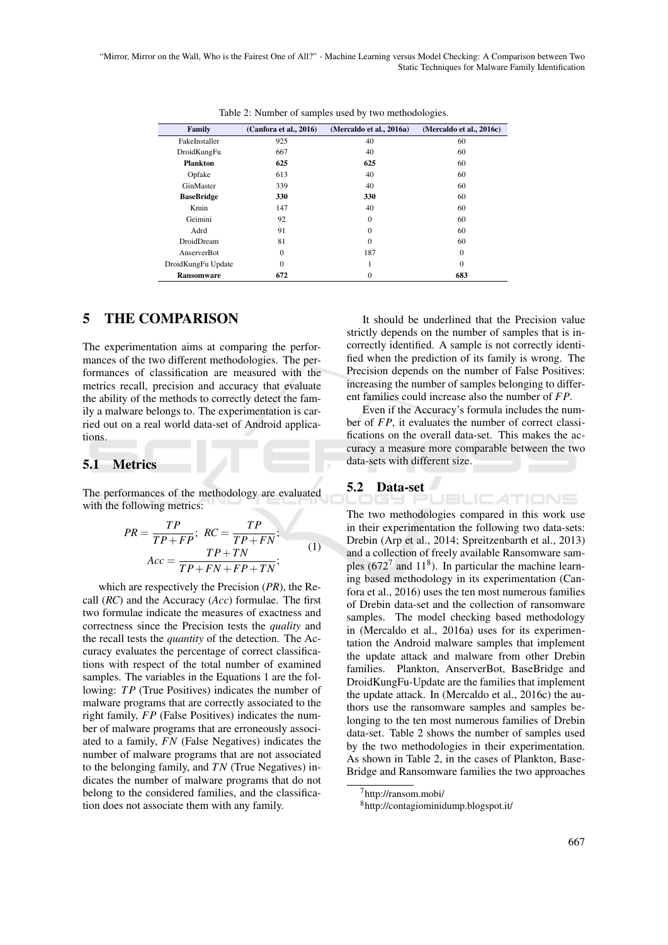"Mirror, Mirror on the Wall, Who is the Fairest One of All?" - Machine Learning versus Model Checking: A Comparison between Two Static Techniques for Malware Family Identification

| <b>Family</b>      | (Canfora et al., 2016) | (Mercaldo et al., 2016a) | (Mercaldo et al., 2016c) |
|--------------------|------------------------|--------------------------|--------------------------|
| FakeInstaller      | 925                    | 40                       | 60                       |
| DroidKungFu        | 667                    | 40                       | 60                       |
| <b>Plankton</b>    | 625                    | 625                      | 60                       |
| Opfake             | 613                    | 40                       | 60                       |
| GinMaster          | 339                    | 40                       | 60                       |
| <b>BaseBridge</b>  | 330                    | 330                      | 60                       |
| Kmin               | 147                    | 40                       | 60                       |
| Geimini            | 92                     | $\Omega$                 | 60                       |
| Adrd               | 91                     | $\theta$                 | 60                       |
| DroidDream         | 81                     | $\Omega$                 | 60                       |
| AnserverBot        | $\mathbf{0}$           | 187                      | $\mathbf{0}$             |
| DroidKungFu Update | $\mathbf{0}$           | ı                        | $\Omega$                 |
| <b>Ransomware</b>  | 672                    | $\theta$                 | 683                      |

Table 2: Number of samples used by two methodologies.

#### 5 THE COMPARISON

The experimentation aims at comparing the performances of the two different methodologies. The performances of classification are measured with the metrics recall, precision and accuracy that evaluate the ability of the methods to correctly detect the family a malware belongs to. The experimentation is carried out on a real world data-set of Android applications.

### 5.1 Metrics

The performances of the methodology are evaluated with the following metrics:

$$
PR = \frac{TP}{TP + FP}; \ RC = \frac{TP}{TP + FN};
$$
  
 
$$
Acc = \frac{TP + TN}{TP + FN + FP + TN};
$$
 (1)

which are respectively the Precision (*PR*), the Recall (*RC*) and the Accuracy (*Acc*) formulae. The first two formulae indicate the measures of exactness and correctness since the Precision tests the *quality* and the recall tests the *quantity* of the detection. The Accuracy evaluates the percentage of correct classifications with respect of the total number of examined samples. The variables in the Equations 1 are the following: *TP* (True Positives) indicates the number of malware programs that are correctly associated to the right family, *FP* (False Positives) indicates the number of malware programs that are erroneously associated to a family, *FN* (False Negatives) indicates the number of malware programs that are not associated to the belonging family, and *TN* (True Negatives) indicates the number of malware programs that do not belong to the considered families, and the classification does not associate them with any family.

It should be underlined that the Precision value strictly depends on the number of samples that is incorrectly identified. A sample is not correctly identified when the prediction of its family is wrong. The Precision depends on the number of False Positives: increasing the number of samples belonging to different families could increase also the number of *FP*.

Even if the Accuracy's formula includes the number of *FP*, it evaluates the number of correct classifications on the overall data-set. This makes the accuracy a measure more comparable between the two data-sets with different size.

JBLIC ATIONS

# 5.2 Data-set

The two methodologies compared in this work use in their experimentation the following two data-sets: Drebin (Arp et al., 2014; Spreitzenbarth et al., 2013) and a collection of freely available Ransomware samples (672<sup>7</sup> and 11<sup>8</sup>). In particular the machine learning based methodology in its experimentation (Canfora et al., 2016) uses the ten most numerous families of Drebin data-set and the collection of ransomware samples. The model checking based methodology in (Mercaldo et al., 2016a) uses for its experimentation the Android malware samples that implement the update attack and malware from other Drebin families. Plankton, AnserverBot, BaseBridge and DroidKungFu-Update are the families that implement the update attack. In (Mercaldo et al., 2016c) the authors use the ransomware samples and samples belonging to the ten most numerous families of Drebin data-set. Table 2 shows the number of samples used by the two methodologies in their experimentation. As shown in Table 2, in the cases of Plankton, Base-Bridge and Ransomware families the two approaches

<sup>7</sup>http://ransom.mobi/

<sup>8</sup>http://contagiominidump.blogspot.it/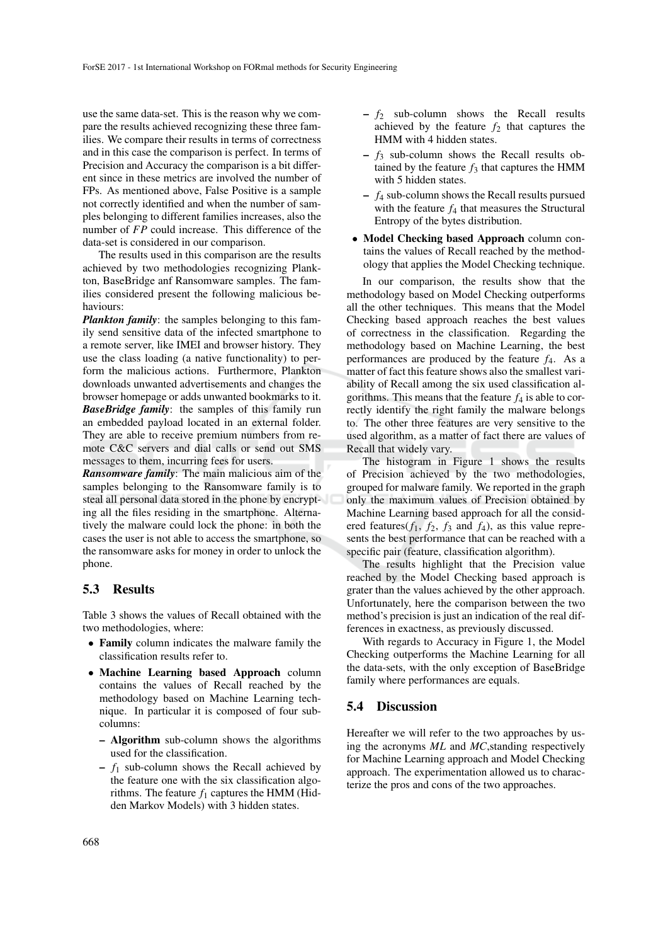use the same data-set. This is the reason why we compare the results achieved recognizing these three families. We compare their results in terms of correctness and in this case the comparison is perfect. In terms of Precision and Accuracy the comparison is a bit different since in these metrics are involved the number of FPs. As mentioned above, False Positive is a sample not correctly identified and when the number of samples belonging to different families increases, also the number of *FP* could increase. This difference of the data-set is considered in our comparison.

The results used in this comparison are the results achieved by two methodologies recognizing Plankton, BaseBridge anf Ransomware samples. The families considered present the following malicious behaviours:

*Plankton family*: the samples belonging to this family send sensitive data of the infected smartphone to a remote server, like IMEI and browser history. They use the class loading (a native functionality) to perform the malicious actions. Furthermore, Plankton downloads unwanted advertisements and changes the browser homepage or adds unwanted bookmarks to it. *BaseBridge family*: the samples of this family run an embedded payload located in an external folder. They are able to receive premium numbers from remote C&C servers and dial calls or send out SMS messages to them, incurring fees for users.

*Ransomware family*: The main malicious aim of the samples belonging to the Ransomware family is to steal all personal data stored in the phone by encrypting all the files residing in the smartphone. Alternatively the malware could lock the phone: in both the cases the user is not able to access the smartphone, so the ransomware asks for money in order to unlock the phone.

#### 5.3 Results

Table 3 shows the values of Recall obtained with the two methodologies, where:

- Family column indicates the malware family the classification results refer to.
- Machine Learning based Approach column contains the values of Recall reached by the methodology based on Machine Learning technique. In particular it is composed of four subcolumns:
	- Algorithm sub-column shows the algorithms used for the classification.
	- $f_1$  sub-column shows the Recall achieved by the feature one with the six classification algorithms. The feature  $f_1$  captures the HMM (Hidden Markov Models) with 3 hidden states.
- $f_2$  sub-column shows the Recall results achieved by the feature  $f_2$  that captures the HMM with 4 hidden states.
- $f_3$  sub-column shows the Recall results obtained by the feature  $f_3$  that captures the HMM with 5 hidden states.
- *f*<sup>4</sup> sub-column shows the Recall results pursued with the feature  $f_4$  that measures the Structural Entropy of the bytes distribution.
- Model Checking based Approach column contains the values of Recall reached by the methodology that applies the Model Checking technique.

In our comparison, the results show that the methodology based on Model Checking outperforms all the other techniques. This means that the Model Checking based approach reaches the best values of correctness in the classification. Regarding the methodology based on Machine Learning, the best performances are produced by the feature *f*4. As a matter of fact this feature shows also the smallest variability of Recall among the six used classification algorithms. This means that the feature  $f_4$  is able to correctly identify the right family the malware belongs to. The other three features are very sensitive to the used algorithm, as a matter of fact there are values of Recall that widely vary.

The histogram in Figure 1 shows the results of Precision achieved by the two methodologies, grouped for malware family. We reported in the graph only the maximum values of Precision obtained by Machine Learning based approach for all the considered features( $f_1$ ,  $f_2$ ,  $f_3$  and  $f_4$ ), as this value represents the best performance that can be reached with a specific pair (feature, classification algorithm).

The results highlight that the Precision value reached by the Model Checking based approach is grater than the values achieved by the other approach. Unfortunately, here the comparison between the two method's precision is just an indication of the real differences in exactness, as previously discussed.

With regards to Accuracy in Figure 1, the Model Checking outperforms the Machine Learning for all the data-sets, with the only exception of BaseBridge family where performances are equals.

#### 5.4 Discussion

Hereafter we will refer to the two approaches by using the acronyms *ML* and *MC*,standing respectively for Machine Learning approach and Model Checking approach. The experimentation allowed us to characterize the pros and cons of the two approaches.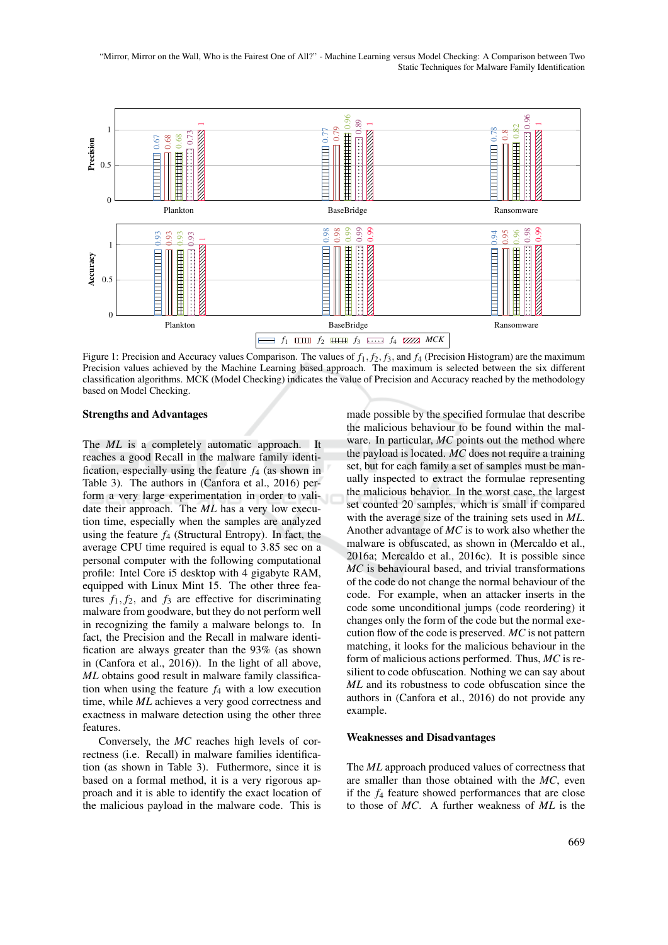"Mirror, Mirror on the Wall, Who is the Fairest One of All?" - Machine Learning versus Model Checking: A Comparison between Two Static Techniques for Malware Family Identification



Figure 1: Precision and Accuracy values Comparison. The values of *f*1, *f*2, *f*3, and *f*<sup>4</sup> (Precision Histogram) are the maximum Precision values achieved by the Machine Learning based approach. The maximum is selected between the six different classification algorithms. MCK (Model Checking) indicates the value of Precision and Accuracy reached by the methodology based on Model Checking.

#### Strengths and Advantages

The *ML* is a completely automatic approach. It reaches a good Recall in the malware family identification, especially using the feature *f*<sup>4</sup> (as shown in Table 3). The authors in (Canfora et al., 2016) perform a very large experimentation in order to validate their approach. The *ML* has a very low execution time, especially when the samples are analyzed using the feature  $f_4$  (Structural Entropy). In fact, the average CPU time required is equal to 3.85 sec on a personal computer with the following computational profile: Intel Core i5 desktop with 4 gigabyte RAM, equipped with Linux Mint 15. The other three features  $f_1, f_2$ , and  $f_3$  are effective for discriminating malware from goodware, but they do not perform well in recognizing the family a malware belongs to. In fact, the Precision and the Recall in malware identification are always greater than the 93% (as shown in (Canfora et al., 2016)). In the light of all above, *ML* obtains good result in malware family classification when using the feature  $f_4$  with a low execution time, while *ML* achieves a very good correctness and exactness in malware detection using the other three features.

Conversely, the *MC* reaches high levels of correctness (i.e. Recall) in malware families identification (as shown in Table 3). Futhermore, since it is based on a formal method, it is a very rigorous approach and it is able to identify the exact location of the malicious payload in the malware code. This is

made possible by the specified formulae that describe the malicious behaviour to be found within the malware. In particular, *MC* points out the method where the payload is located. *MC* does not require a training set, but for each family a set of samples must be manually inspected to extract the formulae representing the malicious behavior. In the worst case, the largest set counted 20 samples, which is small if compared with the average size of the training sets used in *ML*. Another advantage of *MC* is to work also whether the malware is obfuscated, as shown in (Mercaldo et al., 2016a; Mercaldo et al., 2016c). It is possible since *MC* is behavioural based, and trivial transformations of the code do not change the normal behaviour of the code. For example, when an attacker inserts in the code some unconditional jumps (code reordering) it changes only the form of the code but the normal execution flow of the code is preserved. *MC* is not pattern matching, it looks for the malicious behaviour in the form of malicious actions performed. Thus, *MC* is resilient to code obfuscation. Nothing we can say about *ML* and its robustness to code obfuscation since the authors in (Canfora et al., 2016) do not provide any example.

#### Weaknesses and Disadvantages

The *ML* approach produced values of correctness that are smaller than those obtained with the *MC*, even if the *f*<sup>4</sup> feature showed performances that are close to those of *MC*. A further weakness of *ML* is the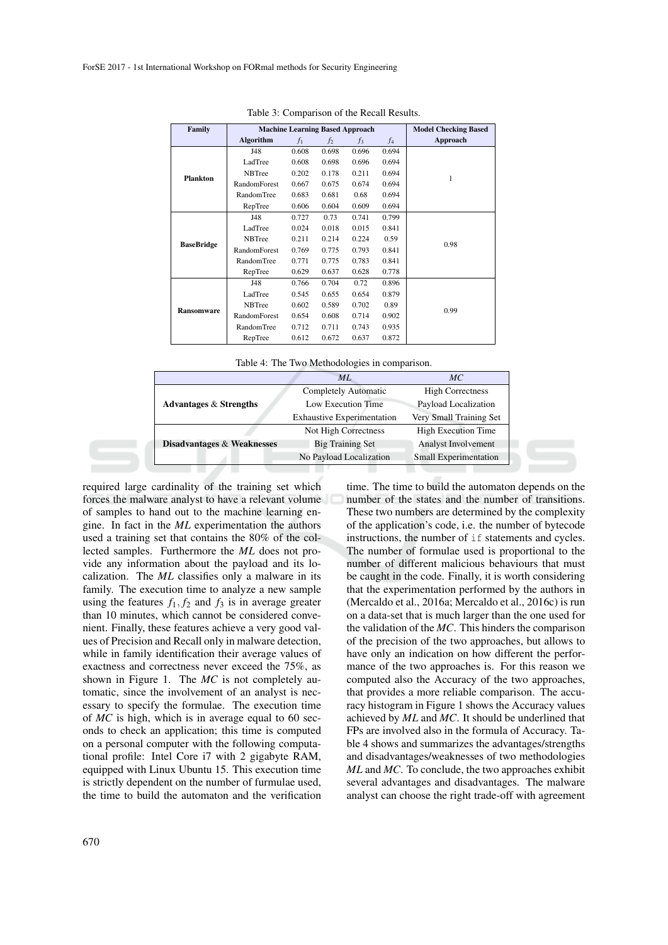| Family            |                     |       | <b>Machine Learning Based Approach</b> |       |       | <b>Model Checking Based</b> |
|-------------------|---------------------|-------|----------------------------------------|-------|-------|-----------------------------|
|                   | Algorithm           | $f_1$ | f <sub>2</sub>                         | $f_3$ | $f_4$ | Approach                    |
|                   | J48                 | 0.608 | 0.698                                  | 0.696 | 0.694 |                             |
|                   | LadTree             | 0.608 | 0.698                                  | 0.696 | 0.694 |                             |
| <b>Plankton</b>   | <b>NBTree</b>       | 0.202 | 0.178                                  | 0.211 | 0.694 | 1                           |
|                   | <b>RandomForest</b> | 0.667 | 0.675                                  | 0.674 | 0.694 |                             |
|                   | <b>RandomTree</b>   | 0.683 | 0.681                                  | 0.68  | 0.694 |                             |
|                   | RepTree             | 0.606 | 0.604                                  | 0.609 | 0.694 |                             |
|                   | J48                 | 0.727 | 0.73                                   | 0.741 | 0.799 |                             |
|                   | LadTree             | 0.024 | 0.018                                  | 0.015 | 0.841 |                             |
|                   | <b>NBTree</b>       | 0.211 | 0.214                                  | 0.224 | 0.59  | 0.98                        |
| <b>BaseBridge</b> | <b>RandomForest</b> | 0.769 | 0.775                                  | 0.793 | 0.841 |                             |
|                   | <b>RandomTree</b>   | 0.771 | 0.775                                  | 0.783 | 0.841 |                             |
|                   | RepTree             | 0.629 | 0.637                                  | 0.628 | 0.778 |                             |
|                   | J48                 | 0.766 | 0.704                                  | 0.72  | 0.896 |                             |
|                   | LadTree             | 0.545 | 0.655                                  | 0.654 | 0.879 |                             |
| <b>Ransomware</b> | <b>NBTree</b>       | 0.602 | 0.589                                  | 0.702 | 0.89  |                             |
|                   | <b>RandomForest</b> | 0.654 | 0.608                                  | 0.714 | 0.902 | 0.99                        |
|                   | <b>RandomTree</b>   | 0.712 | 0.711                                  | 0.743 | 0.935 |                             |
|                   | RepTree             | 0.612 | 0.672                                  | 0.637 | 0.872 |                             |

Table 3: Comparison of the Recall Results.

Table 4: The Two Methodologies in comparison.

|                                       | ML                                | МC                           |  |
|---------------------------------------|-----------------------------------|------------------------------|--|
|                                       | Completely Automatic              | <b>High Correctness</b>      |  |
| <b>Advantages &amp; Strengths</b>     | Low Execution Time                | Payload Localization         |  |
|                                       | <b>Exhaustive Experimentation</b> | Very Small Training Set      |  |
|                                       | Not High Correctness              | <b>High Execution Time</b>   |  |
| <b>Disadvantages &amp; Weaknesses</b> | <b>Big Training Set</b>           | <b>Analyst Involvement</b>   |  |
|                                       | No Payload Localization           | <b>Small Experimentation</b> |  |

required large cardinality of the training set which forces the malware analyst to have a relevant volume of samples to hand out to the machine learning engine. In fact in the *ML* experimentation the authors used a training set that contains the 80% of the collected samples. Furthermore the *ML* does not provide any information about the payload and its localization. The *ML* classifies only a malware in its family. The execution time to analyze a new sample using the features  $f_1, f_2$  and  $f_3$  is in average greater than 10 minutes, which cannot be considered convenient. Finally, these features achieve a very good values of Precision and Recall only in malware detection, while in family identification their average values of exactness and correctness never exceed the 75%, as shown in Figure 1. The *MC* is not completely automatic, since the involvement of an analyst is necessary to specify the formulae. The execution time of *MC* is high, which is in average equal to 60 seconds to check an application; this time is computed on a personal computer with the following computational profile: Intel Core i7 with 2 gigabyte RAM, equipped with Linux Ubuntu 15. This execution time is strictly dependent on the number of furmulae used, the time to build the automaton and the verification

time. The time to build the automaton depends on the number of the states and the number of transitions. These two numbers are determined by the complexity of the application's code, i.e. the number of bytecode instructions, the number of if statements and cycles. The number of formulae used is proportional to the number of different malicious behaviours that must be caught in the code. Finally, it is worth considering that the experimentation performed by the authors in (Mercaldo et al., 2016a; Mercaldo et al., 2016c) is run on a data-set that is much larger than the one used for the validation of the *MC*. This hinders the comparison of the precision of the two approaches, but allows to have only an indication on how different the performance of the two approaches is. For this reason we computed also the Accuracy of the two approaches, that provides a more reliable comparison. The accuracy histogram in Figure 1 shows the Accuracy values achieved by *ML* and *MC*. It should be underlined that FPs are involved also in the formula of Accuracy. Table 4 shows and summarizes the advantages/strengths and disadvantages/weaknesses of two methodologies *ML* and *MC*. To conclude, the two approaches exhibit several advantages and disadvantages. The malware analyst can choose the right trade-off with agreement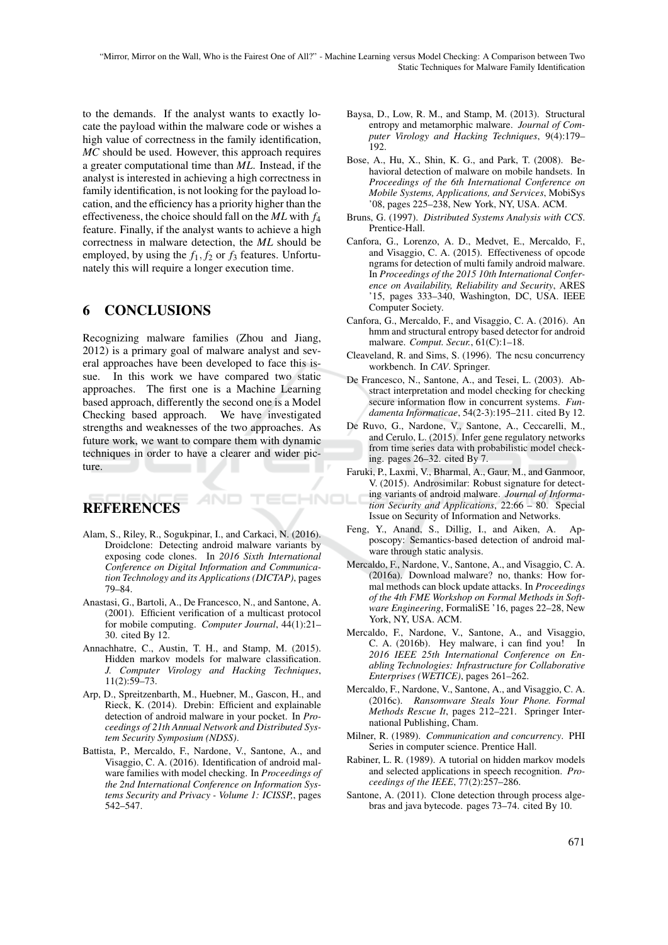"Mirror, Mirror on the Wall, Who is the Fairest One of All?" - Machine Learning versus Model Checking: A Comparison between Two Static Techniques for Malware Family Identification

HNC

to the demands. If the analyst wants to exactly locate the payload within the malware code or wishes a high value of correctness in the family identification, *MC* should be used. However, this approach requires a greater computational time than *ML*. Instead, if the analyst is interested in achieving a high correctness in family identification, is not looking for the payload location, and the efficiency has a priority higher than the effectiveness, the choice should fall on the *ML* with *f*<sup>4</sup> feature. Finally, if the analyst wants to achieve a high correctness in malware detection, the *ML* should be employed, by using the *f*1, *f*<sup>2</sup> or *f*<sup>3</sup> features. Unfortunately this will require a longer execution time.

### 6 CONCLUSIONS

Recognizing malware families (Zhou and Jiang, 2012) is a primary goal of malware analyst and several approaches have been developed to face this issue. In this work we have compared two static approaches. The first one is a Machine Learning based approach, differently the second one is a Model Checking based approach. We have investigated strengths and weaknesses of the two approaches. As future work, we want to compare them with dynamic techniques in order to have a clearer and wider picture.

# **REFERENCES**

- Alam, S., Riley, R., Sogukpinar, I., and Carkaci, N. (2016). Droidclone: Detecting android malware variants by exposing code clones. In *2016 Sixth International Conference on Digital Information and Communication Technology and its Applications (DICTAP)*, pages 79–84.
- Anastasi, G., Bartoli, A., De Francesco, N., and Santone, A. (2001). Efficient verification of a multicast protocol for mobile computing. *Computer Journal*, 44(1):21– 30. cited By 12.
- Annachhatre, C., Austin, T. H., and Stamp, M. (2015). Hidden markov models for malware classification. *J. Computer Virology and Hacking Techniques*, 11(2):59–73.
- Arp, D., Spreitzenbarth, M., Huebner, M., Gascon, H., and Rieck, K. (2014). Drebin: Efficient and explainable detection of android malware in your pocket. In *Proceedings of 21th Annual Network and Distributed System Security Symposium (NDSS)*.
- Battista, P., Mercaldo, F., Nardone, V., Santone, A., and Visaggio, C. A. (2016). Identification of android malware families with model checking. In *Proceedings of the 2nd International Conference on Information Systems Security and Privacy - Volume 1: ICISSP,*, pages 542–547.
- Baysa, D., Low, R. M., and Stamp, M. (2013). Structural entropy and metamorphic malware. *Journal of Computer Virology and Hacking Techniques*, 9(4):179– 192.
- Bose, A., Hu, X., Shin, K. G., and Park, T. (2008). Behavioral detection of malware on mobile handsets. In *Proceedings of the 6th International Conference on Mobile Systems, Applications, and Services*, MobiSys '08, pages 225–238, New York, NY, USA. ACM.
- Bruns, G. (1997). *Distributed Systems Analysis with CCS*. Prentice-Hall.
- Canfora, G., Lorenzo, A. D., Medvet, E., Mercaldo, F., and Visaggio, C. A. (2015). Effectiveness of opcode ngrams for detection of multi family android malware. In *Proceedings of the 2015 10th International Conference on Availability, Reliability and Security*, ARES '15, pages 333–340, Washington, DC, USA. IEEE Computer Society.
- Canfora, G., Mercaldo, F., and Visaggio, C. A. (2016). An hmm and structural entropy based detector for android malware. *Comput. Secur.*, 61(C):1–18.
- Cleaveland, R. and Sims, S. (1996). The ncsu concurrency workbench. In *CAV*. Springer.
- De Francesco, N., Santone, A., and Tesei, L. (2003). Abstract interpretation and model checking for checking secure information flow in concurrent systems. *Fundamenta Informaticae*, 54(2-3):195–211. cited By 12.
- De Ruvo, G., Nardone, V., Santone, A., Ceccarelli, M., and Cerulo, L. (2015). Infer gene regulatory networks from time series data with probabilistic model checking. pages 26–32. cited By 7.
- Faruki, P., Laxmi, V., Bharmal, A., Gaur, M., and Ganmoor, V. (2015). Androsimilar: Robust signature for detecting variants of android malware. *Journal of Information Security and Applications*, 22:66 – 80. Special Issue on Security of Information and Networks.
- Feng, Y., Anand, S., Dillig, I., and Aiken, A. Apposcopy: Semantics-based detection of android malware through static analysis.
- Mercaldo, F., Nardone, V., Santone, A., and Visaggio, C. A. (2016a). Download malware? no, thanks: How formal methods can block update attacks. In *Proceedings of the 4th FME Workshop on Formal Methods in Software Engineering*, FormaliSE '16, pages 22–28, New York, NY, USA. ACM.
- Mercaldo, F., Nardone, V., Santone, A., and Visaggio, C. A. (2016b). Hey malware, i can find you! In *2016 IEEE 25th International Conference on Enabling Technologies: Infrastructure for Collaborative Enterprises (WETICE)*, pages 261–262.
- Mercaldo, F., Nardone, V., Santone, A., and Visaggio, C. A. (2016c). *Ransomware Steals Your Phone. Formal Methods Rescue It*, pages 212–221. Springer International Publishing, Cham.
- Milner, R. (1989). *Communication and concurrency*. PHI Series in computer science. Prentice Hall.
- Rabiner, L. R. (1989). A tutorial on hidden markov models and selected applications in speech recognition. *Proceedings of the IEEE*, 77(2):257–286.
- Santone, A. (2011). Clone detection through process algebras and java bytecode. pages 73–74. cited By 10.